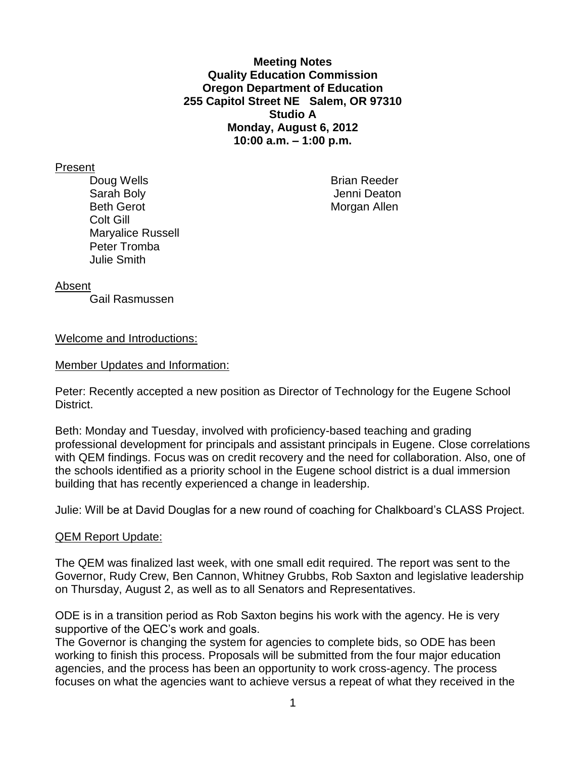**Meeting Notes Quality Education Commission Oregon Department of Education 255 Capitol Street NE Salem, OR 97310 Studio A Monday, August 6, 2012 10:00 a.m. – 1:00 p.m.**

#### Present

Doug Wells **Brian Reeder** Sarah Boly Jenni Deaton Beth Gerot **Morgan Allen** Colt Gill Maryalice Russell Peter Tromba Julie Smith

### Absent

Gail Rasmussen

### Welcome and Introductions:

Member Updates and Information:

Peter: Recently accepted a new position as Director of Technology for the Eugene School District.

Beth: Monday and Tuesday, involved with proficiency-based teaching and grading professional development for principals and assistant principals in Eugene. Close correlations with QEM findings. Focus was on credit recovery and the need for collaboration. Also, one of the schools identified as a priority school in the Eugene school district is a dual immersion building that has recently experienced a change in leadership.

Julie: Will be at David Douglas for a new round of coaching for Chalkboard's CLASS Project.

### QEM Report Update:

The QEM was finalized last week, with one small edit required. The report was sent to the Governor, Rudy Crew, Ben Cannon, Whitney Grubbs, Rob Saxton and legislative leadership on Thursday, August 2, as well as to all Senators and Representatives.

ODE is in a transition period as Rob Saxton begins his work with the agency. He is very supportive of the QEC's work and goals.

The Governor is changing the system for agencies to complete bids, so ODE has been working to finish this process. Proposals will be submitted from the four major education agencies, and the process has been an opportunity to work cross-agency. The process focuses on what the agencies want to achieve versus a repeat of what they received in the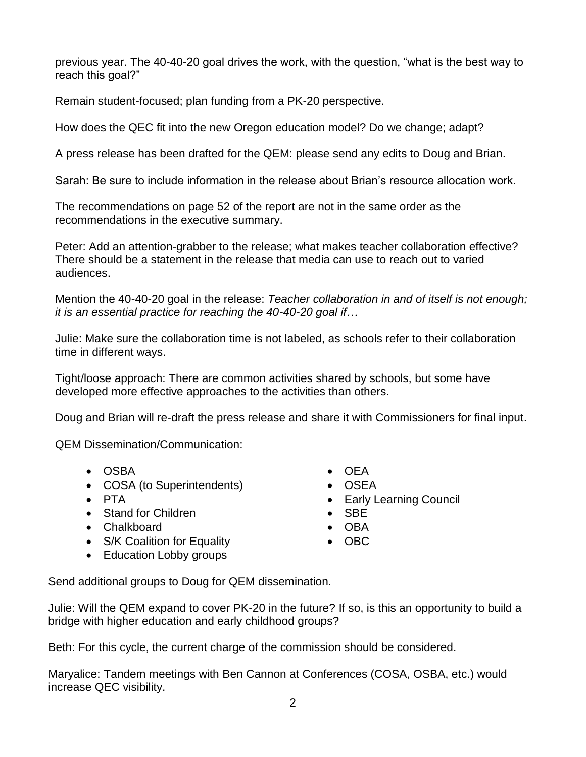previous year. The 40-40-20 goal drives the work, with the question, "what is the best way to reach this goal?"

Remain student-focused; plan funding from a PK-20 perspective.

How does the QEC fit into the new Oregon education model? Do we change; adapt?

A press release has been drafted for the QEM: please send any edits to Doug and Brian.

Sarah: Be sure to include information in the release about Brian's resource allocation work.

The recommendations on page 52 of the report are not in the same order as the recommendations in the executive summary.

Peter: Add an attention-grabber to the release; what makes teacher collaboration effective? There should be a statement in the release that media can use to reach out to varied audiences.

Mention the 40-40-20 goal in the release: *Teacher collaboration in and of itself is not enough; it is an essential practice for reaching the 40-40-20 goal if…*

Julie: Make sure the collaboration time is not labeled, as schools refer to their collaboration time in different ways.

Tight/loose approach: There are common activities shared by schools, but some have developed more effective approaches to the activities than others.

Doug and Brian will re-draft the press release and share it with Commissioners for final input.

# QEM Dissemination/Communication:

- OSBA
- COSA (to Superintendents)
- PTA
- Stand for Children
- Chalkboard
- S/K Coalition for Equality • Education Lobby groups
- OEA
- OSEA
- Early Learning Council
- SBE
- OBA
- $\bullet$  OBC
- Send additional groups to Doug for QEM dissemination.

Julie: Will the QEM expand to cover PK-20 in the future? If so, is this an opportunity to build a bridge with higher education and early childhood groups?

Beth: For this cycle, the current charge of the commission should be considered.

Maryalice: Tandem meetings with Ben Cannon at Conferences (COSA, OSBA, etc.) would increase QEC visibility.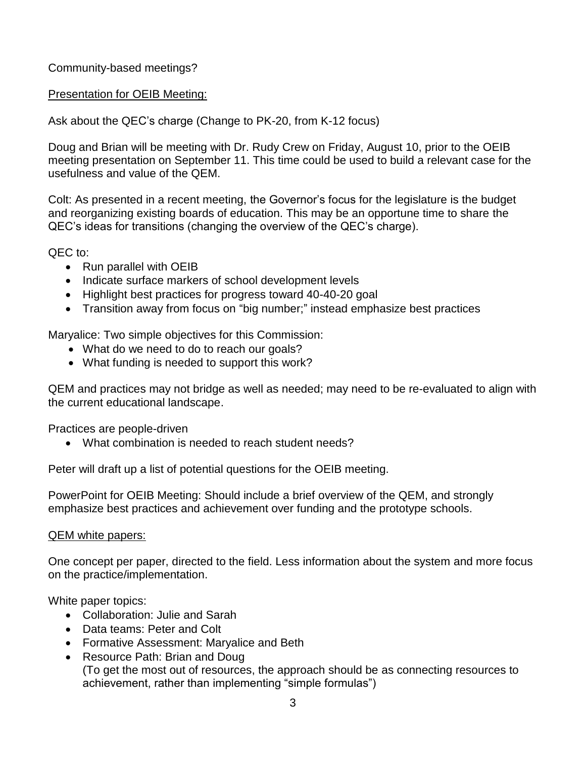Community-based meetings?

## Presentation for OEIB Meeting:

Ask about the QEC's charge (Change to PK-20, from K-12 focus)

Doug and Brian will be meeting with Dr. Rudy Crew on Friday, August 10, prior to the OEIB meeting presentation on September 11. This time could be used to build a relevant case for the usefulness and value of the QEM.

Colt: As presented in a recent meeting, the Governor's focus for the legislature is the budget and reorganizing existing boards of education. This may be an opportune time to share the QEC's ideas for transitions (changing the overview of the QEC's charge).

QEC to:

- Run parallel with OEIB
- Indicate surface markers of school development levels
- Highlight best practices for progress toward 40-40-20 goal
- Transition away from focus on "big number;" instead emphasize best practices

Maryalice: Two simple objectives for this Commission:

- What do we need to do to reach our goals?
- What funding is needed to support this work?

QEM and practices may not bridge as well as needed; may need to be re-evaluated to align with the current educational landscape.

Practices are people-driven

What combination is needed to reach student needs?

Peter will draft up a list of potential questions for the OEIB meeting.

PowerPoint for OEIB Meeting: Should include a brief overview of the QEM, and strongly emphasize best practices and achievement over funding and the prototype schools.

## QEM white papers:

One concept per paper, directed to the field. Less information about the system and more focus on the practice/implementation.

White paper topics:

- Collaboration: Julie and Sarah
- Data teams: Peter and Colt
- Formative Assessment: Maryalice and Beth
- Resource Path: Brian and Doug (To get the most out of resources, the approach should be as connecting resources to achievement, rather than implementing "simple formulas")